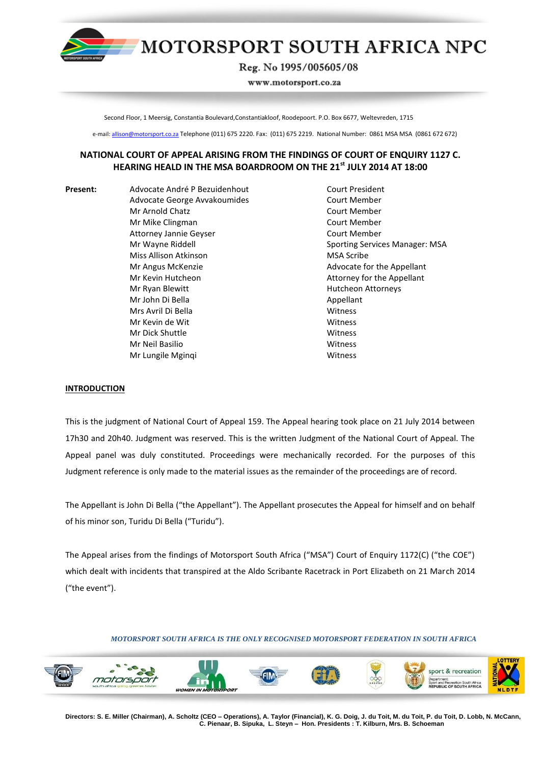

# MOTORSPORT SOUTH AFRICA NPC

Reg. No 1995/005605/08

www.motorsport.co.za

Second Floor, 1 Meersig, Constantia Boulevard,Constantiakloof, Roodepoort. P.O. Box 6677, Weltevreden, 1715

e-mail: allison@motorsport.co.za Telephone (011) 675 2220. Fax: (011) 675 2219. National Number: 0861 MSA MSA (0861 672 672)

# **NATIONAL COURT OF APPEAL ARISING FROM THE FINDINGS OF COURT OF ENQUIRY 1127 C. HEARING HEALD IN THE MSA BOARDROOM ON THE 21st JULY 2014 AT 18:00**

**Present:** Advocate André P Bezuidenhout Court President Advocate George Avvakoumides Court Member Mr Arnold Chatz Court Member Mr Mike Clingman Court Member Attorney Jannie Geyser Court Member Miss Allison Atkinson **MSA Scribe** Mr Angus McKenzie **Advocate for the Appellant** Mr Kevin Hutcheon **Attorney for the Appellant** Mr Ryan Blewitt **Hutcheon Attorneys** Mr John Di Bella Appellant Mrs Avril Di Bella Witness Mr Kevin de Wit Witness Mr Dick Shuttle Witness Mr Neil Basilio Witness Mr Lungile Mginqi Witness

Mr Wayne Riddell Sporting Services Manager: MSA

# **INTRODUCTION**

This is the judgment of National Court of Appeal 159. The Appeal hearing took place on 21 July 2014 between 17h30 and 20h40. Judgment was reserved. This is the written Judgment of the National Court of Appeal. The Appeal panel was duly constituted. Proceedings were mechanically recorded. For the purposes of this Judgment reference is only made to the material issues as the remainder of the proceedings are of record.

The Appellant is John Di Bella ("the Appellant"). The Appellant prosecutes the Appeal for himself and on behalf of his minor son, Turidu Di Bella ("Turidu").

The Appeal arises from the findings of Motorsport South Africa ("MSA") Court of Enquiry 1172(C) ("the COE") which dealt with incidents that transpired at the Aldo Scribante Racetrack in Port Elizabeth on 21 March 2014 ("the event").

# *MOTORSPORT SOUTH AFRICA IS THE ONLY RECOGNISED MOTORSPORT FEDERATION IN SOUTH AFRICA*



**Directors: S. E. Miller (Chairman), A. Scholtz (CEO – Operations), A. Taylor (Financial), K. G. Doig, J. du Toit, M. du Toit, P. du Toit, D. Lobb, N. McCann, C. Pienaar, B. Sipuka, L. Steyn – Hon. Presidents : T. Kilburn, Mrs. B. Schoeman**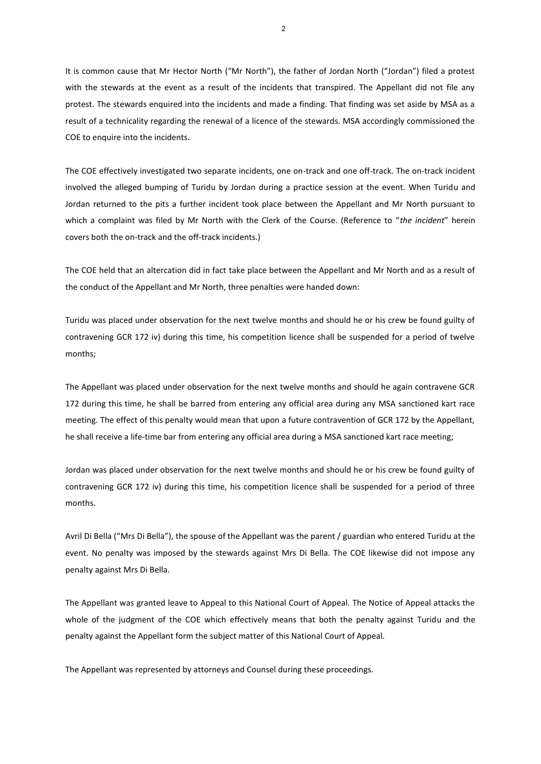It is common cause that Mr Hector North ("Mr North"), the father of Jordan North ("Jordan") filed a protest with the stewards at the event as a result of the incidents that transpired. The Appellant did not file any protest. The stewards enquired into the incidents and made a finding. That finding was set aside by MSA as a result of a technicality regarding the renewal of a licence of the stewards. MSA accordingly commissioned the COE to enquire into the incidents.

The COE effectively investigated two separate incidents, one on-track and one off-track. The on-track incident involved the alleged bumping of Turidu by Jordan during a practice session at the event. When Turidu and Jordan returned to the pits a further incident took place between the Appellant and Mr North pursuant to which a complaint was filed by Mr North with the Clerk of the Course. (Reference to "*the incident*" herein covers both the on-track and the off-track incidents.)

The COE held that an altercation did in fact take place between the Appellant and Mr North and as a result of the conduct of the Appellant and Mr North, three penalties were handed down:

Turidu was placed under observation for the next twelve months and should he or his crew be found guilty of contravening GCR 172 iv) during this time, his competition licence shall be suspended for a period of twelve months;

The Appellant was placed under observation for the next twelve months and should he again contravene GCR 172 during this time, he shall be barred from entering any official area during any MSA sanctioned kart race meeting. The effect of this penalty would mean that upon a future contravention of GCR 172 by the Appellant, he shall receive a life-time bar from entering any official area during a MSA sanctioned kart race meeting;

Jordan was placed under observation for the next twelve months and should he or his crew be found guilty of contravening GCR 172 iv) during this time, his competition licence shall be suspended for a period of three months.

Avril Di Bella ("Mrs Di Bella"), the spouse of the Appellant was the parent / guardian who entered Turidu at the event. No penalty was imposed by the stewards against Mrs Di Bella. The COE likewise did not impose any penalty against Mrs Di Bella.

The Appellant was granted leave to Appeal to this National Court of Appeal. The Notice of Appeal attacks the whole of the judgment of the COE which effectively means that both the penalty against Turidu and the penalty against the Appellant form the subject matter of this National Court of Appeal.

The Appellant was represented by attorneys and Counsel during these proceedings.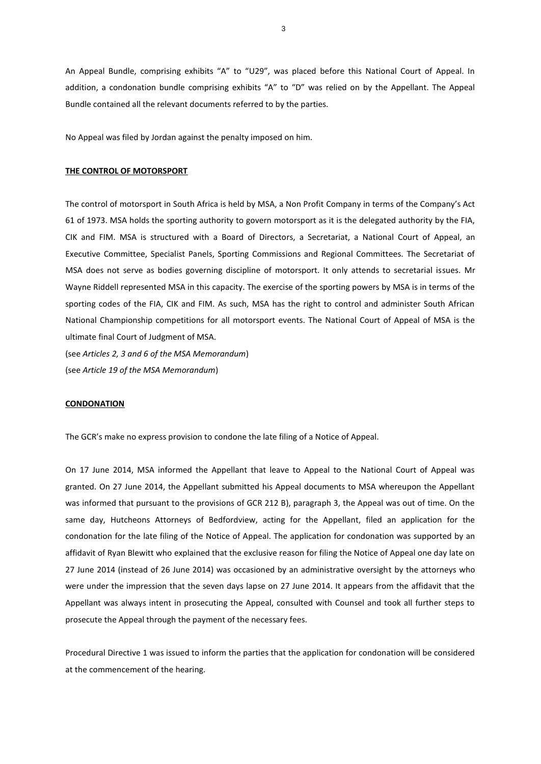An Appeal Bundle, comprising exhibits "A" to "U29", was placed before this National Court of Appeal. In addition, a condonation bundle comprising exhibits "A" to "D" was relied on by the Appellant. The Appeal Bundle contained all the relevant documents referred to by the parties.

No Appeal was filed by Jordan against the penalty imposed on him.

## **THE CONTROL OF MOTORSPORT**

The control of motorsport in South Africa is held by MSA, a Non Profit Company in terms of the Company's Act 61 of 1973. MSA holds the sporting authority to govern motorsport as it is the delegated authority by the FIA, CIK and FIM. MSA is structured with a Board of Directors, a Secretariat, a National Court of Appeal, an Executive Committee, Specialist Panels, Sporting Commissions and Regional Committees. The Secretariat of MSA does not serve as bodies governing discipline of motorsport. It only attends to secretarial issues. Mr Wayne Riddell represented MSA in this capacity. The exercise of the sporting powers by MSA is in terms of the sporting codes of the FIA, CIK and FIM. As such, MSA has the right to control and administer South African National Championship competitions for all motorsport events. The National Court of Appeal of MSA is the ultimate final Court of Judgment of MSA.

(see *Articles 2, 3 and 6 of the MSA Memorandum*) (see *Article 19 of the MSA Memorandum*)

# **CONDONATION**

The GCR's make no express provision to condone the late filing of a Notice of Appeal.

On 17 June 2014, MSA informed the Appellant that leave to Appeal to the National Court of Appeal was granted. On 27 June 2014, the Appellant submitted his Appeal documents to MSA whereupon the Appellant was informed that pursuant to the provisions of GCR 212 B), paragraph 3, the Appeal was out of time. On the same day, Hutcheons Attorneys of Bedfordview, acting for the Appellant, filed an application for the condonation for the late filing of the Notice of Appeal. The application for condonation was supported by an affidavit of Ryan Blewitt who explained that the exclusive reason for filing the Notice of Appeal one day late on 27 June 2014 (instead of 26 June 2014) was occasioned by an administrative oversight by the attorneys who were under the impression that the seven days lapse on 27 June 2014. It appears from the affidavit that the Appellant was always intent in prosecuting the Appeal, consulted with Counsel and took all further steps to prosecute the Appeal through the payment of the necessary fees.

Procedural Directive 1 was issued to inform the parties that the application for condonation will be considered at the commencement of the hearing.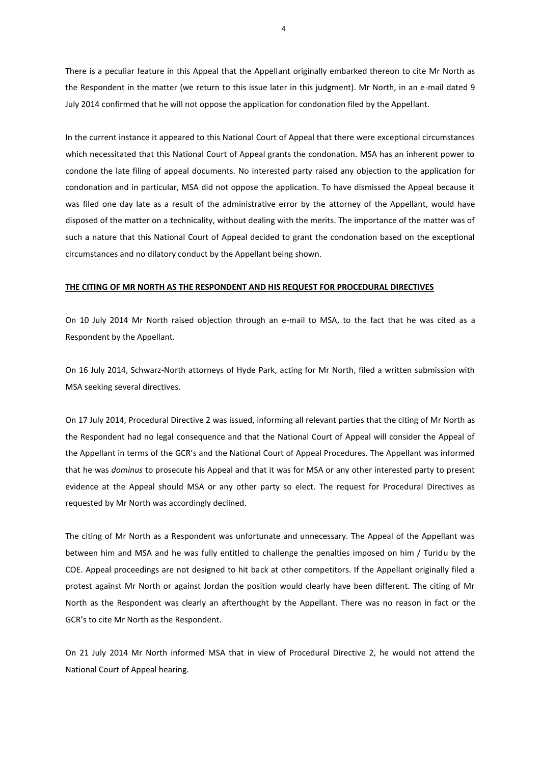There is a peculiar feature in this Appeal that the Appellant originally embarked thereon to cite Mr North as the Respondent in the matter (we return to this issue later in this judgment). Mr North, in an e-mail dated 9 July 2014 confirmed that he will not oppose the application for condonation filed by the Appellant.

In the current instance it appeared to this National Court of Appeal that there were exceptional circumstances which necessitated that this National Court of Appeal grants the condonation. MSA has an inherent power to condone the late filing of appeal documents. No interested party raised any objection to the application for condonation and in particular, MSA did not oppose the application. To have dismissed the Appeal because it was filed one day late as a result of the administrative error by the attorney of the Appellant, would have disposed of the matter on a technicality, without dealing with the merits. The importance of the matter was of such a nature that this National Court of Appeal decided to grant the condonation based on the exceptional circumstances and no dilatory conduct by the Appellant being shown.

## **THE CITING OF MR NORTH AS THE RESPONDENT AND HIS REQUEST FOR PROCEDURAL DIRECTIVES**

On 10 July 2014 Mr North raised objection through an e-mail to MSA, to the fact that he was cited as a Respondent by the Appellant.

On 16 July 2014, Schwarz-North attorneys of Hyde Park, acting for Mr North, filed a written submission with MSA seeking several directives.

On 17 July 2014, Procedural Directive 2 was issued, informing all relevant parties that the citing of Mr North as the Respondent had no legal consequence and that the National Court of Appeal will consider the Appeal of the Appellant in terms of the GCR's and the National Court of Appeal Procedures. The Appellant was informed that he was *dominus* to prosecute his Appeal and that it was for MSA or any other interested party to present evidence at the Appeal should MSA or any other party so elect. The request for Procedural Directives as requested by Mr North was accordingly declined.

The citing of Mr North as a Respondent was unfortunate and unnecessary. The Appeal of the Appellant was between him and MSA and he was fully entitled to challenge the penalties imposed on him / Turidu by the COE. Appeal proceedings are not designed to hit back at other competitors. If the Appellant originally filed a protest against Mr North or against Jordan the position would clearly have been different. The citing of Mr North as the Respondent was clearly an afterthought by the Appellant. There was no reason in fact or the GCR's to cite Mr North as the Respondent.

On 21 July 2014 Mr North informed MSA that in view of Procedural Directive 2, he would not attend the National Court of Appeal hearing.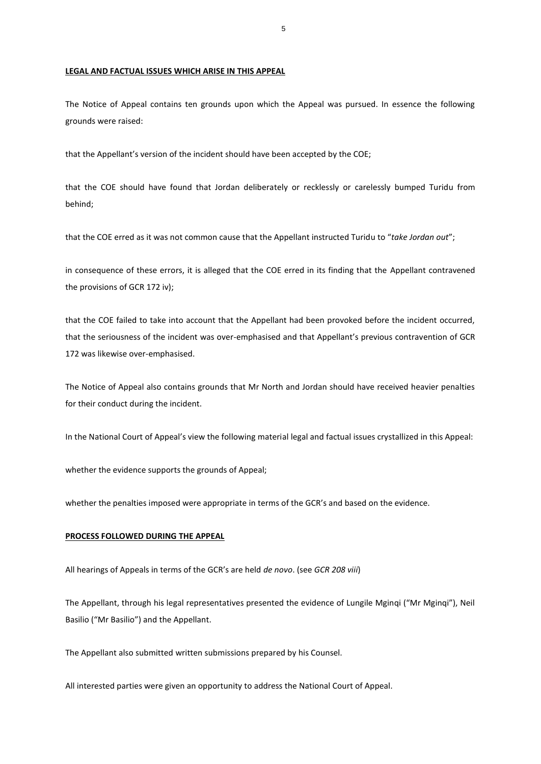## **LEGAL AND FACTUAL ISSUES WHICH ARISE IN THIS APPEAL**

The Notice of Appeal contains ten grounds upon which the Appeal was pursued. In essence the following grounds were raised:

that the Appellant's version of the incident should have been accepted by the COE;

that the COE should have found that Jordan deliberately or recklessly or carelessly bumped Turidu from behind;

that the COE erred as it was not common cause that the Appellant instructed Turidu to "*take Jordan out*";

in consequence of these errors, it is alleged that the COE erred in its finding that the Appellant contravened the provisions of GCR 172 iv);

that the COE failed to take into account that the Appellant had been provoked before the incident occurred, that the seriousness of the incident was over-emphasised and that Appellant's previous contravention of GCR 172 was likewise over-emphasised.

The Notice of Appeal also contains grounds that Mr North and Jordan should have received heavier penalties for their conduct during the incident.

In the National Court of Appeal's view the following material legal and factual issues crystallized in this Appeal:

whether the evidence supports the grounds of Appeal;

whether the penalties imposed were appropriate in terms of the GCR's and based on the evidence.

#### **PROCESS FOLLOWED DURING THE APPEAL**

All hearings of Appeals in terms of the GCR's are held *de novo*. (see *GCR 208 viii*)

The Appellant, through his legal representatives presented the evidence of Lungile Mginqi ("Mr Mginqi"), Neil Basilio ("Mr Basilio") and the Appellant.

The Appellant also submitted written submissions prepared by his Counsel.

All interested parties were given an opportunity to address the National Court of Appeal.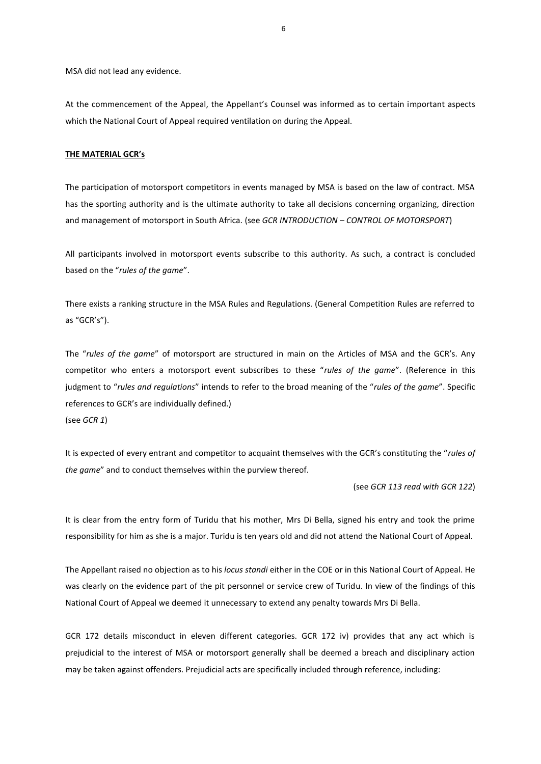MSA did not lead any evidence.

At the commencement of the Appeal, the Appellant's Counsel was informed as to certain important aspects which the National Court of Appeal required ventilation on during the Appeal.

# **THE MATERIAL GCR's**

The participation of motorsport competitors in events managed by MSA is based on the law of contract. MSA has the sporting authority and is the ultimate authority to take all decisions concerning organizing, direction and management of motorsport in South Africa. (see *GCR INTRODUCTION – CONTROL OF MOTORSPORT*)

All participants involved in motorsport events subscribe to this authority. As such, a contract is concluded based on the "*rules of the game*".

There exists a ranking structure in the MSA Rules and Regulations. (General Competition Rules are referred to as "GCR's").

The "*rules of the game*" of motorsport are structured in main on the Articles of MSA and the GCR's. Any competitor who enters a motorsport event subscribes to these "*rules of the game*". (Reference in this judgment to "*rules and regulations*" intends to refer to the broad meaning of the "*rules of the game*". Specific references to GCR's are individually defined.) (see *GCR 1*)

It is expected of every entrant and competitor to acquaint themselves with the GCR's constituting the "*rules of the game*" and to conduct themselves within the purview thereof.

(see *GCR 113 read with GCR 122*)

It is clear from the entry form of Turidu that his mother, Mrs Di Bella, signed his entry and took the prime responsibility for him as she is a major. Turidu is ten years old and did not attend the National Court of Appeal.

The Appellant raised no objection as to his *locus standi* either in the COE or in this National Court of Appeal. He was clearly on the evidence part of the pit personnel or service crew of Turidu. In view of the findings of this National Court of Appeal we deemed it unnecessary to extend any penalty towards Mrs Di Bella.

GCR 172 details misconduct in eleven different categories. GCR 172 iv) provides that any act which is prejudicial to the interest of MSA or motorsport generally shall be deemed a breach and disciplinary action may be taken against offenders. Prejudicial acts are specifically included through reference, including: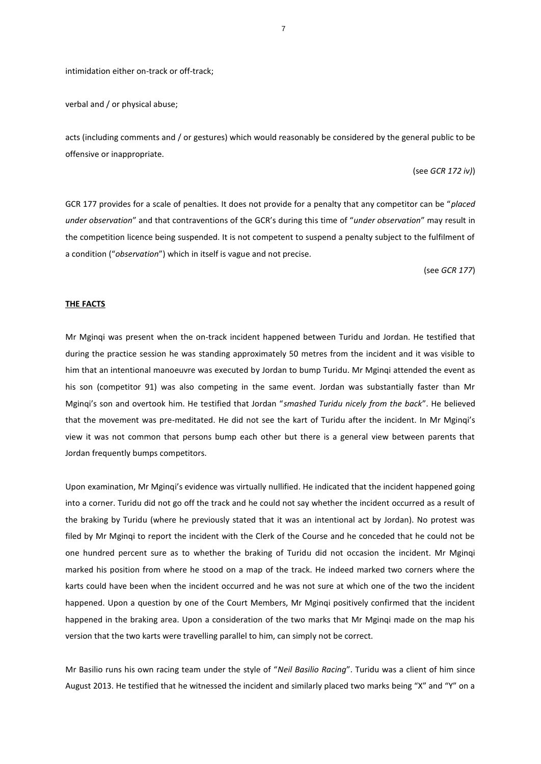intimidation either on-track or off-track;

verbal and / or physical abuse;

acts (including comments and / or gestures) which would reasonably be considered by the general public to be offensive or inappropriate.

## (see *GCR 172 iv)*)

GCR 177 provides for a scale of penalties. It does not provide for a penalty that any competitor can be "*placed under observation*" and that contraventions of the GCR's during this time of "*under observation*" may result in the competition licence being suspended. It is not competent to suspend a penalty subject to the fulfilment of a condition ("*observation*") which in itself is vague and not precise.

(see *GCR 177*)

## **THE FACTS**

Mr Mginqi was present when the on-track incident happened between Turidu and Jordan. He testified that during the practice session he was standing approximately 50 metres from the incident and it was visible to him that an intentional manoeuvre was executed by Jordan to bump Turidu. Mr Mginqi attended the event as his son (competitor 91) was also competing in the same event. Jordan was substantially faster than Mr Mginqi's son and overtook him. He testified that Jordan "*smashed Turidu nicely from the back*". He believed that the movement was pre-meditated. He did not see the kart of Turidu after the incident. In Mr Mginqi's view it was not common that persons bump each other but there is a general view between parents that Jordan frequently bumps competitors.

Upon examination, Mr Mginqi's evidence was virtually nullified. He indicated that the incident happened going into a corner. Turidu did not go off the track and he could not say whether the incident occurred as a result of the braking by Turidu (where he previously stated that it was an intentional act by Jordan). No protest was filed by Mr Mginqi to report the incident with the Clerk of the Course and he conceded that he could not be one hundred percent sure as to whether the braking of Turidu did not occasion the incident. Mr Mginqi marked his position from where he stood on a map of the track. He indeed marked two corners where the karts could have been when the incident occurred and he was not sure at which one of the two the incident happened. Upon a question by one of the Court Members, Mr Mginqi positively confirmed that the incident happened in the braking area. Upon a consideration of the two marks that Mr Mginqi made on the map his version that the two karts were travelling parallel to him, can simply not be correct.

Mr Basilio runs his own racing team under the style of "*Neil Basilio Racing*". Turidu was a client of him since August 2013. He testified that he witnessed the incident and similarly placed two marks being "X" and "Y" on a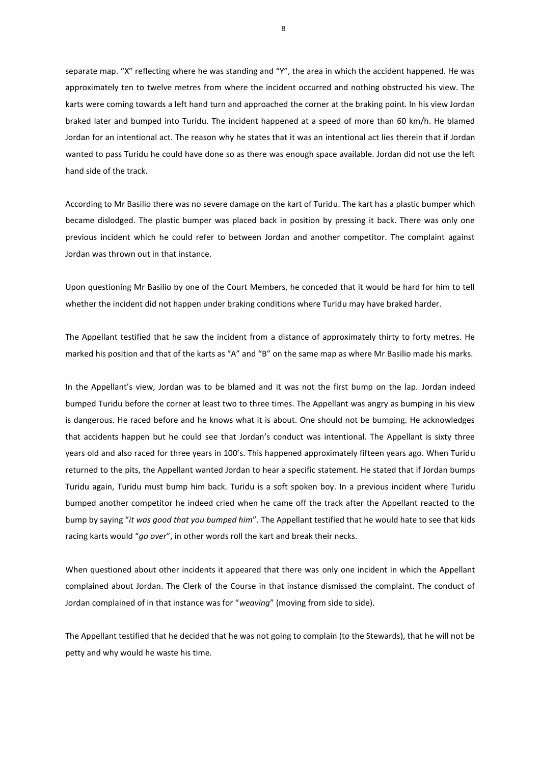separate map. "X" reflecting where he was standing and "Y", the area in which the accident happened. He was approximately ten to twelve metres from where the incident occurred and nothing obstructed his view. The karts were coming towards a left hand turn and approached the corner at the braking point. In his view Jordan braked later and bumped into Turidu. The incident happened at a speed of more than 60 km/h. He blamed Jordan for an intentional act. The reason why he states that it was an intentional act lies therein that if Jordan wanted to pass Turidu he could have done so as there was enough space available. Jordan did not use the left hand side of the track.

According to Mr Basilio there was no severe damage on the kart of Turidu. The kart has a plastic bumper which became dislodged. The plastic bumper was placed back in position by pressing it back. There was only one previous incident which he could refer to between Jordan and another competitor. The complaint against Jordan was thrown out in that instance.

Upon questioning Mr Basilio by one of the Court Members, he conceded that it would be hard for him to tell whether the incident did not happen under braking conditions where Turidu may have braked harder.

The Appellant testified that he saw the incident from a distance of approximately thirty to forty metres. He marked his position and that of the karts as "A" and "B" on the same map as where Mr Basilio made his marks.

In the Appellant's view, Jordan was to be blamed and it was not the first bump on the lap. Jordan indeed bumped Turidu before the corner at least two to three times. The Appellant was angry as bumping in his view is dangerous. He raced before and he knows what it is about. One should not be bumping. He acknowledges that accidents happen but he could see that Jordan's conduct was intentional. The Appellant is sixty three years old and also raced for three years in 100's. This happened approximately fifteen years ago. When Turidu returned to the pits, the Appellant wanted Jordan to hear a specific statement. He stated that if Jordan bumps Turidu again, Turidu must bump him back. Turidu is a soft spoken boy. In a previous incident where Turidu bumped another competitor he indeed cried when he came off the track after the Appellant reacted to the bump by saying "*it was good that you bumped him*". The Appellant testified that he would hate to see that kids racing karts would "*go over*", in other words roll the kart and break their necks.

When questioned about other incidents it appeared that there was only one incident in which the Appellant complained about Jordan. The Clerk of the Course in that instance dismissed the complaint. The conduct of Jordan complained of in that instance was for "*weaving*" (moving from side to side).

The Appellant testified that he decided that he was not going to complain (to the Stewards), that he will not be petty and why would he waste his time.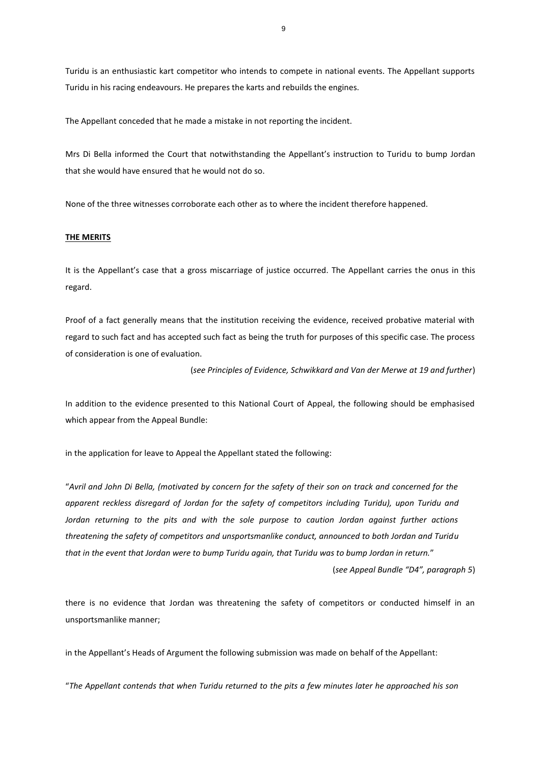Turidu is an enthusiastic kart competitor who intends to compete in national events. The Appellant supports Turidu in his racing endeavours. He prepares the karts and rebuilds the engines.

The Appellant conceded that he made a mistake in not reporting the incident.

Mrs Di Bella informed the Court that notwithstanding the Appellant's instruction to Turidu to bump Jordan that she would have ensured that he would not do so.

None of the three witnesses corroborate each other as to where the incident therefore happened.

# **THE MERITS**

It is the Appellant's case that a gross miscarriage of justice occurred. The Appellant carries the onus in this regard.

Proof of a fact generally means that the institution receiving the evidence, received probative material with regard to such fact and has accepted such fact as being the truth for purposes of this specific case. The process of consideration is one of evaluation.

(*see Principles of Evidence, Schwikkard and Van der Merwe at 19 and further*)

In addition to the evidence presented to this National Court of Appeal, the following should be emphasised which appear from the Appeal Bundle:

in the application for leave to Appeal the Appellant stated the following:

"*Avril and John Di Bella, (motivated by concern for the safety of their son on track and concerned for the apparent reckless disregard of Jordan for the safety of competitors including Turidu), upon Turidu and Jordan returning to the pits and with the sole purpose to caution Jordan against further actions threatening the safety of competitors and unsportsmanlike conduct, announced to both Jordan and Turidu that in the event that Jordan were to bump Turidu again, that Turidu was to bump Jordan in return.*"

(*see Appeal Bundle "D4", paragraph 5*)

there is no evidence that Jordan was threatening the safety of competitors or conducted himself in an unsportsmanlike manner;

in the Appellant's Heads of Argument the following submission was made on behalf of the Appellant:

"*The Appellant contends that when Turidu returned to the pits a few minutes later he approached his son*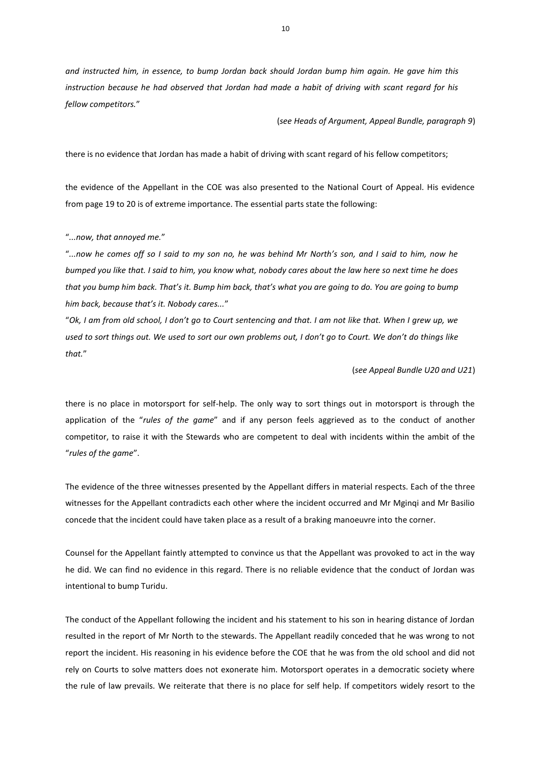*and instructed him, in essence, to bump Jordan back should Jordan bump him again. He gave him this instruction because he had observed that Jordan had made a habit of driving with scant regard for his fellow competitors.*"

(*see Heads of Argument, Appeal Bundle, paragraph 9*)

there is no evidence that Jordan has made a habit of driving with scant regard of his fellow competitors;

the evidence of the Appellant in the COE was also presented to the National Court of Appeal. His evidence from page 19 to 20 is of extreme importance. The essential parts state the following:

"*...now, that annoyed me.*"

"*...now he comes off so I said to my son no, he was behind Mr North's son, and I said to him, now he bumped you like that. I said to him, you know what, nobody cares about the law here so next time he does that you bump him back. That's it. Bump him back, that's what you are going to do. You are going to bump him back, because that's it. Nobody cares...*"

"*Ok, I am from old school, I don't go to Court sentencing and that. I am not like that. When I grew up, we used to sort things out. We used to sort our own problems out, I don't go to Court. We don't do things like that.*"

(*see Appeal Bundle U20 and U21*)

there is no place in motorsport for self-help. The only way to sort things out in motorsport is through the application of the "*rules of the game*" and if any person feels aggrieved as to the conduct of another competitor, to raise it with the Stewards who are competent to deal with incidents within the ambit of the "*rules of the game*".

The evidence of the three witnesses presented by the Appellant differs in material respects. Each of the three witnesses for the Appellant contradicts each other where the incident occurred and Mr Mginqi and Mr Basilio concede that the incident could have taken place as a result of a braking manoeuvre into the corner.

Counsel for the Appellant faintly attempted to convince us that the Appellant was provoked to act in the way he did. We can find no evidence in this regard. There is no reliable evidence that the conduct of Jordan was intentional to bump Turidu.

The conduct of the Appellant following the incident and his statement to his son in hearing distance of Jordan resulted in the report of Mr North to the stewards. The Appellant readily conceded that he was wrong to not report the incident. His reasoning in his evidence before the COE that he was from the old school and did not rely on Courts to solve matters does not exonerate him. Motorsport operates in a democratic society where the rule of law prevails. We reiterate that there is no place for self help. If competitors widely resort to the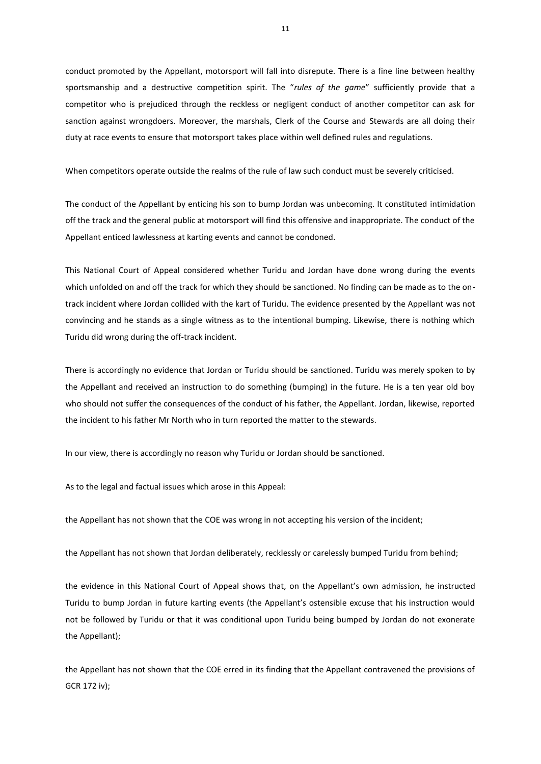conduct promoted by the Appellant, motorsport will fall into disrepute. There is a fine line between healthy sportsmanship and a destructive competition spirit. The "*rules of the game*" sufficiently provide that a competitor who is prejudiced through the reckless or negligent conduct of another competitor can ask for sanction against wrongdoers. Moreover, the marshals, Clerk of the Course and Stewards are all doing their duty at race events to ensure that motorsport takes place within well defined rules and regulations.

When competitors operate outside the realms of the rule of law such conduct must be severely criticised.

The conduct of the Appellant by enticing his son to bump Jordan was unbecoming. It constituted intimidation off the track and the general public at motorsport will find this offensive and inappropriate. The conduct of the Appellant enticed lawlessness at karting events and cannot be condoned.

This National Court of Appeal considered whether Turidu and Jordan have done wrong during the events which unfolded on and off the track for which they should be sanctioned. No finding can be made as to the ontrack incident where Jordan collided with the kart of Turidu. The evidence presented by the Appellant was not convincing and he stands as a single witness as to the intentional bumping. Likewise, there is nothing which Turidu did wrong during the off-track incident.

There is accordingly no evidence that Jordan or Turidu should be sanctioned. Turidu was merely spoken to by the Appellant and received an instruction to do something (bumping) in the future. He is a ten year old boy who should not suffer the consequences of the conduct of his father, the Appellant. Jordan, likewise, reported the incident to his father Mr North who in turn reported the matter to the stewards.

In our view, there is accordingly no reason why Turidu or Jordan should be sanctioned.

As to the legal and factual issues which arose in this Appeal:

the Appellant has not shown that the COE was wrong in not accepting his version of the incident;

the Appellant has not shown that Jordan deliberately, recklessly or carelessly bumped Turidu from behind;

the evidence in this National Court of Appeal shows that, on the Appellant's own admission, he instructed Turidu to bump Jordan in future karting events (the Appellant's ostensible excuse that his instruction would not be followed by Turidu or that it was conditional upon Turidu being bumped by Jordan do not exonerate the Appellant);

the Appellant has not shown that the COE erred in its finding that the Appellant contravened the provisions of GCR 172 iv);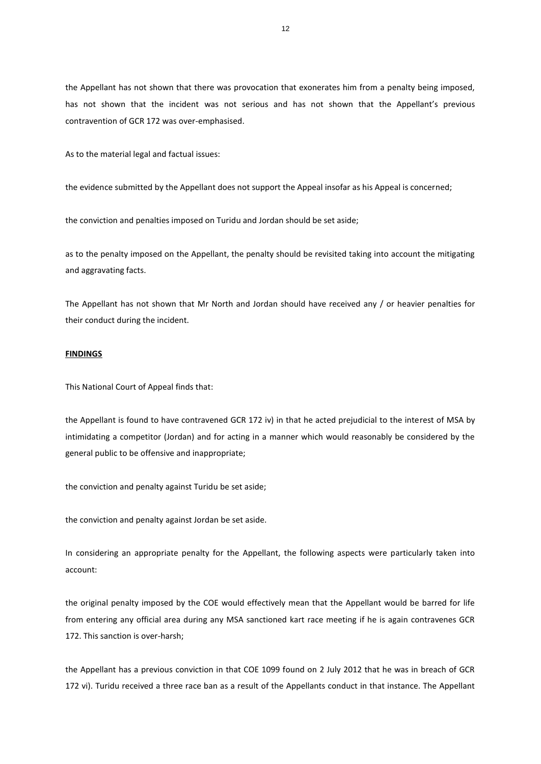the Appellant has not shown that there was provocation that exonerates him from a penalty being imposed, has not shown that the incident was not serious and has not shown that the Appellant's previous contravention of GCR 172 was over-emphasised.

As to the material legal and factual issues:

the evidence submitted by the Appellant does not support the Appeal insofar as his Appeal is concerned;

the conviction and penalties imposed on Turidu and Jordan should be set aside;

as to the penalty imposed on the Appellant, the penalty should be revisited taking into account the mitigating and aggravating facts.

The Appellant has not shown that Mr North and Jordan should have received any / or heavier penalties for their conduct during the incident.

## **FINDINGS**

This National Court of Appeal finds that:

the Appellant is found to have contravened GCR 172 iv) in that he acted prejudicial to the interest of MSA by intimidating a competitor (Jordan) and for acting in a manner which would reasonably be considered by the general public to be offensive and inappropriate;

the conviction and penalty against Turidu be set aside;

the conviction and penalty against Jordan be set aside.

In considering an appropriate penalty for the Appellant, the following aspects were particularly taken into account:

the original penalty imposed by the COE would effectively mean that the Appellant would be barred for life from entering any official area during any MSA sanctioned kart race meeting if he is again contravenes GCR 172. This sanction is over-harsh;

the Appellant has a previous conviction in that COE 1099 found on 2 July 2012 that he was in breach of GCR 172 vi). Turidu received a three race ban as a result of the Appellants conduct in that instance. The Appellant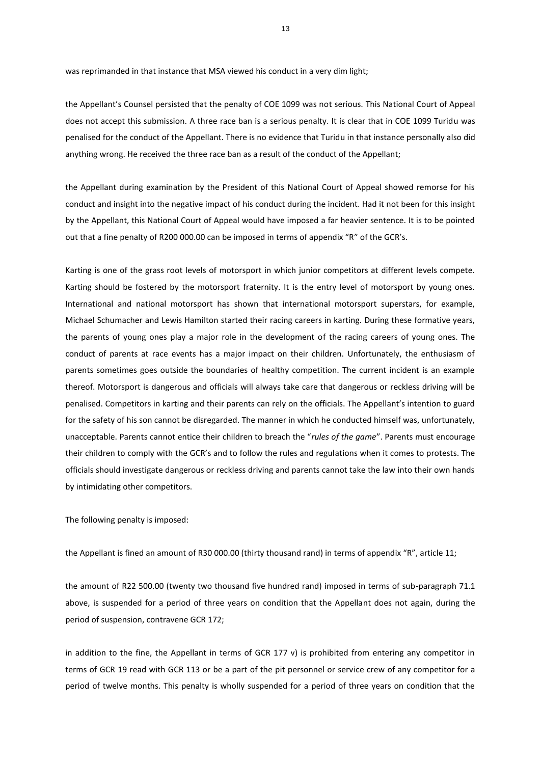was reprimanded in that instance that MSA viewed his conduct in a very dim light;

the Appellant's Counsel persisted that the penalty of COE 1099 was not serious. This National Court of Appeal does not accept this submission. A three race ban is a serious penalty. It is clear that in COE 1099 Turidu was penalised for the conduct of the Appellant. There is no evidence that Turidu in that instance personally also did anything wrong. He received the three race ban as a result of the conduct of the Appellant;

the Appellant during examination by the President of this National Court of Appeal showed remorse for his conduct and insight into the negative impact of his conduct during the incident. Had it not been for this insight by the Appellant, this National Court of Appeal would have imposed a far heavier sentence. It is to be pointed out that a fine penalty of R200 000.00 can be imposed in terms of appendix "R" of the GCR's.

Karting is one of the grass root levels of motorsport in which junior competitors at different levels compete. Karting should be fostered by the motorsport fraternity. It is the entry level of motorsport by young ones. International and national motorsport has shown that international motorsport superstars, for example, Michael Schumacher and Lewis Hamilton started their racing careers in karting. During these formative years, the parents of young ones play a major role in the development of the racing careers of young ones. The conduct of parents at race events has a major impact on their children. Unfortunately, the enthusiasm of parents sometimes goes outside the boundaries of healthy competition. The current incident is an example thereof. Motorsport is dangerous and officials will always take care that dangerous or reckless driving will be penalised. Competitors in karting and their parents can rely on the officials. The Appellant's intention to guard for the safety of his son cannot be disregarded. The manner in which he conducted himself was, unfortunately, unacceptable. Parents cannot entice their children to breach the "*rules of the game*". Parents must encourage their children to comply with the GCR's and to follow the rules and regulations when it comes to protests. The officials should investigate dangerous or reckless driving and parents cannot take the law into their own hands by intimidating other competitors.

The following penalty is imposed:

the Appellant is fined an amount of R30 000.00 (thirty thousand rand) in terms of appendix "R", article 11;

the amount of R22 500.00 (twenty two thousand five hundred rand) imposed in terms of sub-paragraph 71.1 above, is suspended for a period of three years on condition that the Appellant does not again, during the period of suspension, contravene GCR 172;

in addition to the fine, the Appellant in terms of GCR 177 v) is prohibited from entering any competitor in terms of GCR 19 read with GCR 113 or be a part of the pit personnel or service crew of any competitor for a period of twelve months. This penalty is wholly suspended for a period of three years on condition that the